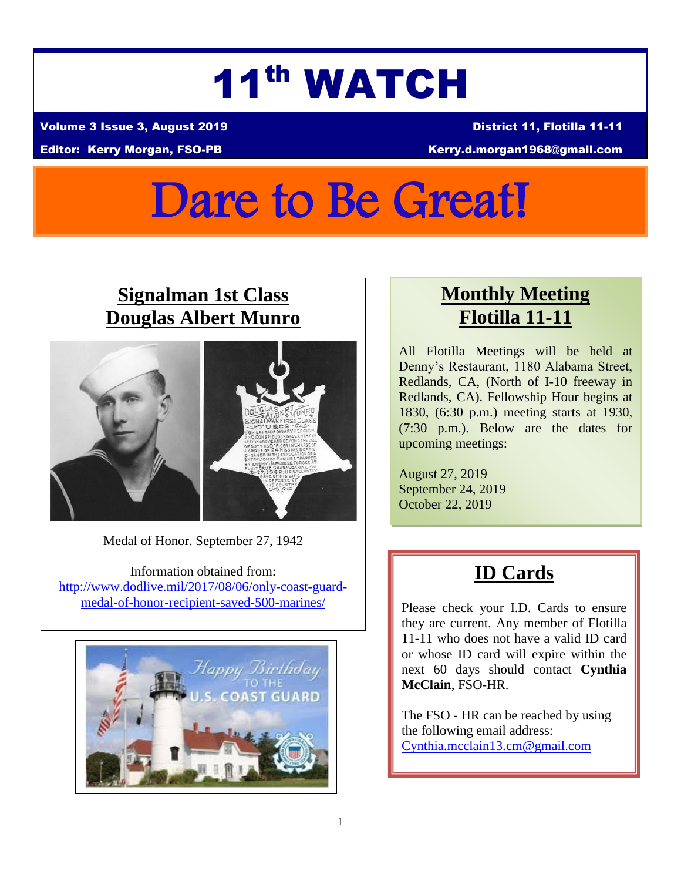# 11th WATCH

Volume 3 Issue 3, August 2019 District 11, Flotilla 11-11

#### Editor: Kerry Morgan, FSO-PB Kerry.d.morgan1968@gmail.com

# Dare to Be Great!

#### **Signalman 1st Class Douglas Albert Munro**



Medal of Honor. September 27, 1942

Information obtained from: [http://www.dodlive.mil/2017/08/06/only-coast-guard](http://www.dodlive.mil/2017/08/06/only-coast-guard-medal-of-honor-recipient-saved-500-marines/)[medal-of-honor-recipient-saved-500-marines/](http://www.dodlive.mil/2017/08/06/only-coast-guard-medal-of-honor-recipient-saved-500-marines/)



#### **Monthly Meeting Flotilla 11-11**

All Flotilla Meetings will be held at Denny's Restaurant, 1180 Alabama Street, Redlands, CA, (North of I-10 freeway in Redlands, CA). Fellowship Hour begins at 1830, (6:30 p.m.) meeting starts at 1930, (7:30 p.m.). Below are the dates for upcoming meetings:

August 27, 2019 September 24, 2019 October 22, 2019

## **ID Cards**

Please check your I.D. Cards to ensure they are current. Any member of Flotilla 11-11 who does not have a valid ID card or whose ID card will expire within the next 60 days should contact **Cynthia McClain**, FSO-HR.

The FSO - HR can be reached by using the following email address: [Cynthia.mcclain13.cm@gmail.com](mailto:Cynthia.mcclain13.cm@gmail.com)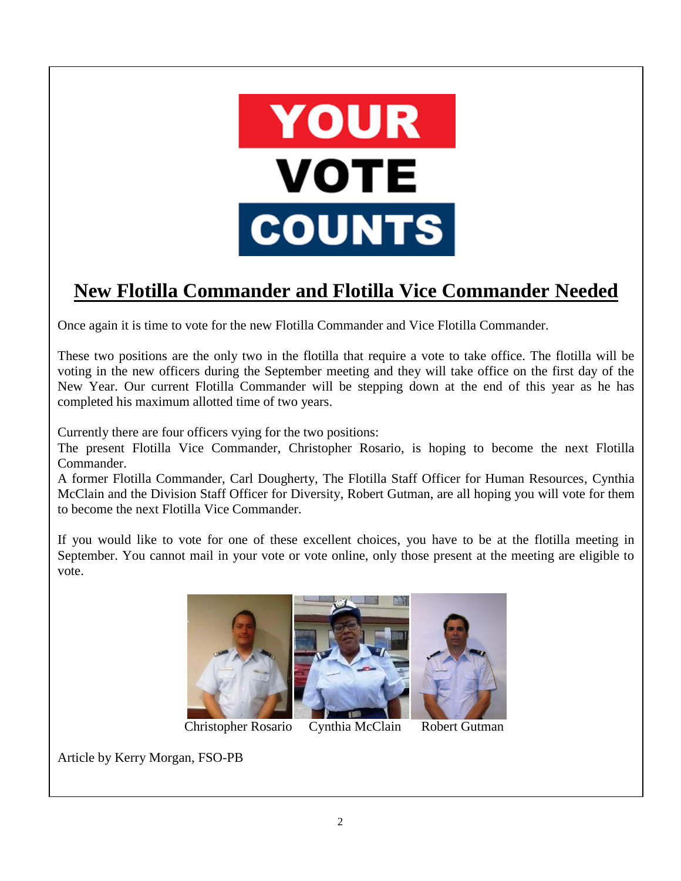

## **New Flotilla Commander and Flotilla Vice Commander Needed**

Once again it is time to vote for the new Flotilla Commander and Vice Flotilla Commander.

These two positions are the only two in the flotilla that require a vote to take office. The flotilla will be voting in the new officers during the September meeting and they will take office on the first day of the New Year. Our current Flotilla Commander will be stepping down at the end of this year as he has completed his maximum allotted time of two years.

Currently there are four officers vying for the two positions:

The present Flotilla Vice Commander, Christopher Rosario, is hoping to become the next Flotilla Commander.

A former Flotilla Commander, Carl Dougherty, The Flotilla Staff Officer for Human Resources, Cynthia McClain and the Division Staff Officer for Diversity, Robert Gutman, are all hoping you will vote for them to become the next Flotilla Vice Commander.

If you would like to vote for one of these excellent choices, you have to be at the flotilla meeting in September. You cannot mail in your vote or vote online, only those present at the meeting are eligible to vote.



Christopher Rosario Cynthia McClain Robert Gutman

Article by Kerry Morgan, FSO-PB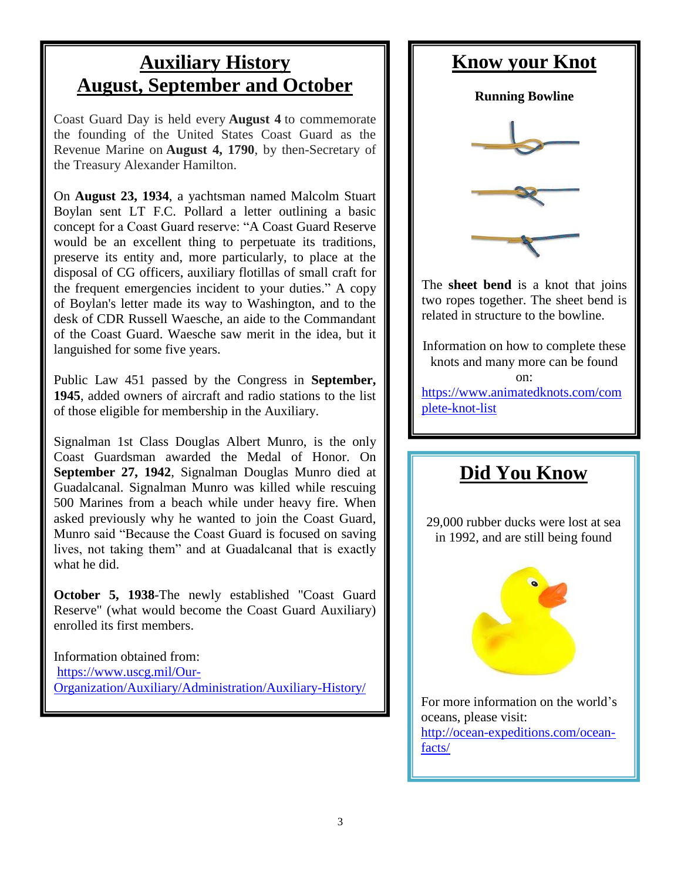#### **Auxiliary History August, September and October**

Coast Guard Day is held every **August 4** to commemorate the founding of the United States Coast Guard as the Revenue Marine on **August 4, 1790**, by then-Secretary of the Treasury Alexander Hamilton.

On **August 23, 1934**, a yachtsman named Malcolm Stuart Boylan sent LT F.C. Pollard a letter outlining a basic concept for a Coast Guard reserve: "A Coast Guard Reserve would be an excellent thing to perpetuate its traditions, preserve its entity and, more particularly, to place at the disposal of CG officers, auxiliary flotillas of small craft for the frequent emergencies incident to your duties." A copy of Boylan's letter made its way to Washington, and to the desk of CDR Russell Waesche, an aide to the Commandant of the Coast Guard. Waesche saw merit in the idea, but it languished for some five years.

Public Law 451 passed by the Congress in **September, 1945**, added owners of aircraft and radio stations to the list of those eligible for membership in the Auxiliary.

Signalman 1st Class Douglas Albert Munro, is the only Coast Guardsman awarded the Medal of Honor. On **September 27, 1942**, Signalman Douglas Munro died at Guadalcanal. Signalman Munro was killed while rescuing 500 Marines from a beach while under heavy fire. When asked previously why he wanted to join the Coast Guard, Munro said "Because the Coast Guard is focused on saving lives, not taking them" and at Guadalcanal that is exactly what he did.

**October 5, 1938**-The newly established "Coast Guard Reserve" (what would become the Coast Guard Auxiliary) enrolled its first members.

Information obtained from: [https://www.uscg.mil/Our-](https://www.uscg.mil/Our-Organization/Auxiliary/Administration/Auxiliary-History/)[Organization/Auxiliary/Administration/Auxiliary-History/](https://www.uscg.mil/Our-Organization/Auxiliary/Administration/Auxiliary-History/)

## **Know your Knot Running Bowline** The **sheet bend** is a knot that joins two ropes together. The sheet bend is related in structure to the bowline. Information on how to complete these knots and many more can be found on: [https://www.animatedknots.com/com](https://www.animatedknots.com/complete-knot-list) [plete-knot-list](https://www.animatedknots.com/complete-knot-list) **Did You Know**

29,000 rubber ducks were lost at sea in 1992, and are still being found



For more information on the world's oceans, please visit: [http://ocean-expeditions.com/ocean](http://ocean-expeditions.com/ocean-facts/)[facts/](http://ocean-expeditions.com/ocean-facts/)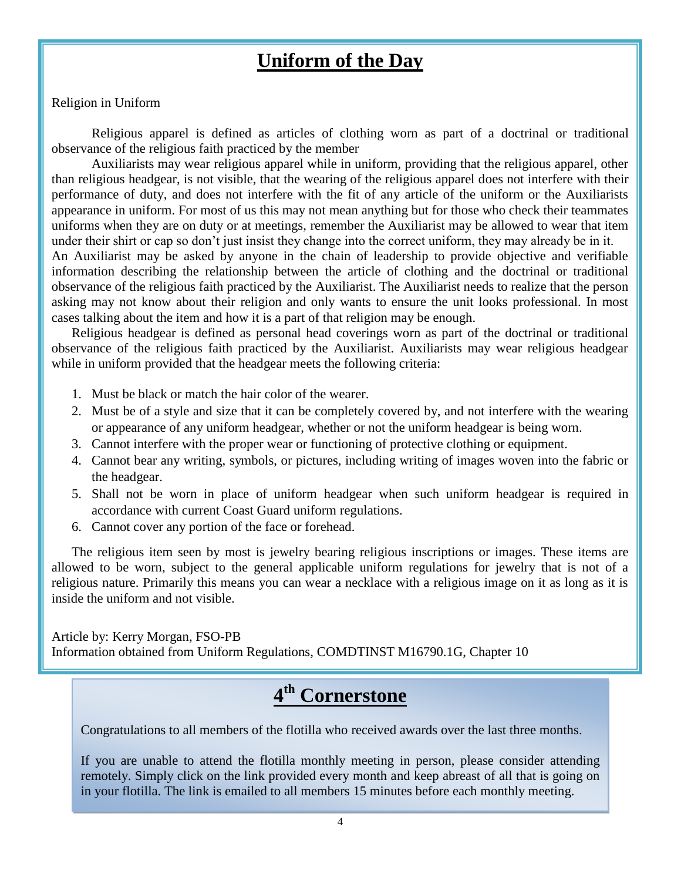#### **Uniform of the Day**

#### Religion in Uniform

Religious apparel is defined as articles of clothing worn as part of a doctrinal or traditional observance of the religious faith practiced by the member

Auxiliarists may wear religious apparel while in uniform, providing that the religious apparel, other than religious headgear, is not visible, that the wearing of the religious apparel does not interfere with their performance of duty, and does not interfere with the fit of any article of the uniform or the Auxiliarists appearance in uniform. For most of us this may not mean anything but for those who check their teammates uniforms when they are on duty or at meetings, remember the Auxiliarist may be allowed to wear that item under their shirt or cap so don't just insist they change into the correct uniform, they may already be in it. An Auxiliarist may be asked by anyone in the chain of leadership to provide objective and verifiable

information describing the relationship between the article of clothing and the doctrinal or traditional observance of the religious faith practiced by the Auxiliarist. The Auxiliarist needs to realize that the person asking may not know about their religion and only wants to ensure the unit looks professional. In most cases talking about the item and how it is a part of that religion may be enough.

Religious headgear is defined as personal head coverings worn as part of the doctrinal or traditional observance of the religious faith practiced by the Auxiliarist. Auxiliarists may wear religious headgear while in uniform provided that the headgear meets the following criteria:

- 1. Must be black or match the hair color of the wearer.
- 2. Must be of a style and size that it can be completely covered by, and not interfere with the wearing or appearance of any uniform headgear, whether or not the uniform headgear is being worn.
- 3. Cannot interfere with the proper wear or functioning of protective clothing or equipment.
- 4. Cannot bear any writing, symbols, or pictures, including writing of images woven into the fabric or the headgear.
- 5. Shall not be worn in place of uniform headgear when such uniform headgear is required in accordance with current Coast Guard uniform regulations.
- 6. Cannot cover any portion of the face or forehead.

The religious item seen by most is jewelry bearing religious inscriptions or images. These items are allowed to be worn, subject to the general applicable uniform regulations for jewelry that is not of a religious nature. Primarily this means you can wear a necklace with a religious image on it as long as it is inside the uniform and not visible.

Article by: Kerry Morgan, FSO-PB Information obtained from Uniform Regulations, COMDTINST M16790.1G, Chapter 10

## **4 th Cornerstone**

Congratulations to all members of the flotilla who received awards over the last three months.

If you are unable to attend the flotilla monthly meeting in person, please consider attending remotely. Simply click on the link provided every month and keep abreast of all that is going on in your flotilla. The link is emailed to all members 15 minutes before each monthly meeting.

More information about Auxiliary uniforms will be published each month. If you have any questions about the uniform please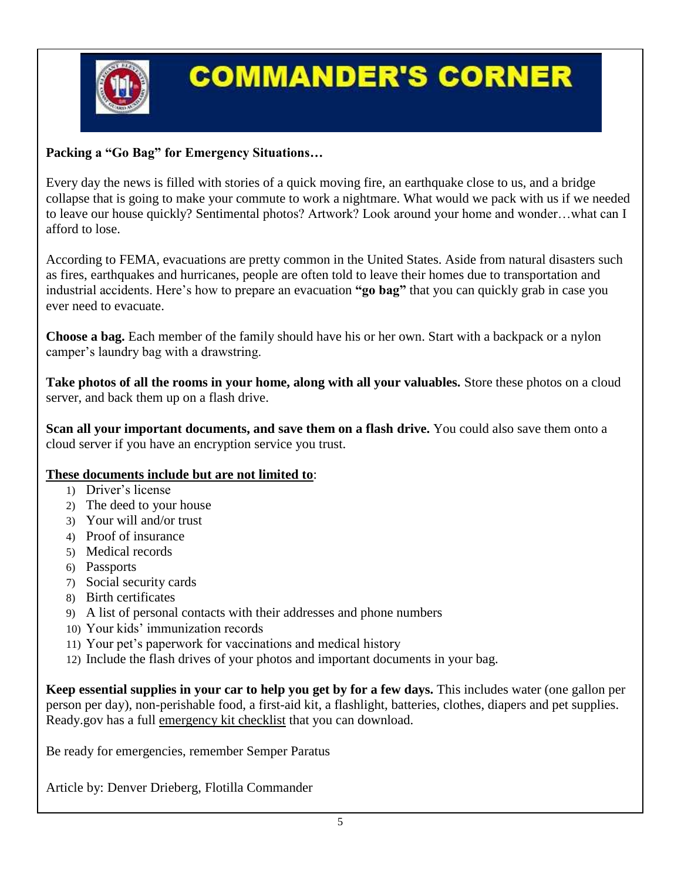

## **COMMANDER'S CORNER**

#### **Packing a "Go Bag" for Emergency Situations…**

Every day the news is filled with stories of a quick moving fire, an earthquake close to us, and a bridge collapse that is going to make your commute to work a nightmare. What would we pack with us if we needed to leave our house quickly? Sentimental photos? Artwork? Look around your home and wonder…what can I afford to lose.

According to FEMA, evacuations are pretty common in the United States. Aside from natural disasters such as fires, earthquakes and hurricanes, people are often told to leave their homes due to transportation and industrial accidents. Here's how to prepare an evacuation **"go bag"** that you can quickly grab in case you ever need to evacuate.

**Choose a bag.** Each member of the family should have his or her own. Start with a backpack or a nylon camper's laundry bag with a drawstring.

**Take photos of all the rooms in your home, along with all your valuables.** Store these photos on a cloud server, and back them up on a flash drive.

**Scan all your important documents, and save them on a flash drive.** You could also save them onto a cloud server if you have an encryption service you trust.

#### **These documents include but are not limited to**:

- 1) Driver's license
- 2) The deed to your house
- 3) Your will and/or trust
- 4) Proof of insurance
- 5) Medical records
- 6) Passports
- 7) Social security cards
- 8) Birth certificates
- 9) A list of personal contacts with their addresses and phone numbers
- 10) Your kids' immunization records
- 11) Your pet's paperwork for vaccinations and medical history
- 12) Include the flash drives of your photos and important documents in your bag.

**Keep essential supplies in your car to help you get by for a few days.** This includes water (one gallon per person per day), non-perishable food, a first-aid kit, a flashlight, batteries, clothes, diapers and pet supplies. Ready.gov has a full [emergency kit checklist](https://www.ready.gov/build-a-kit) that you can download.

Be ready for emergencies, remember Semper Paratus

Article by: Denver Drieberg, Flotilla Commander